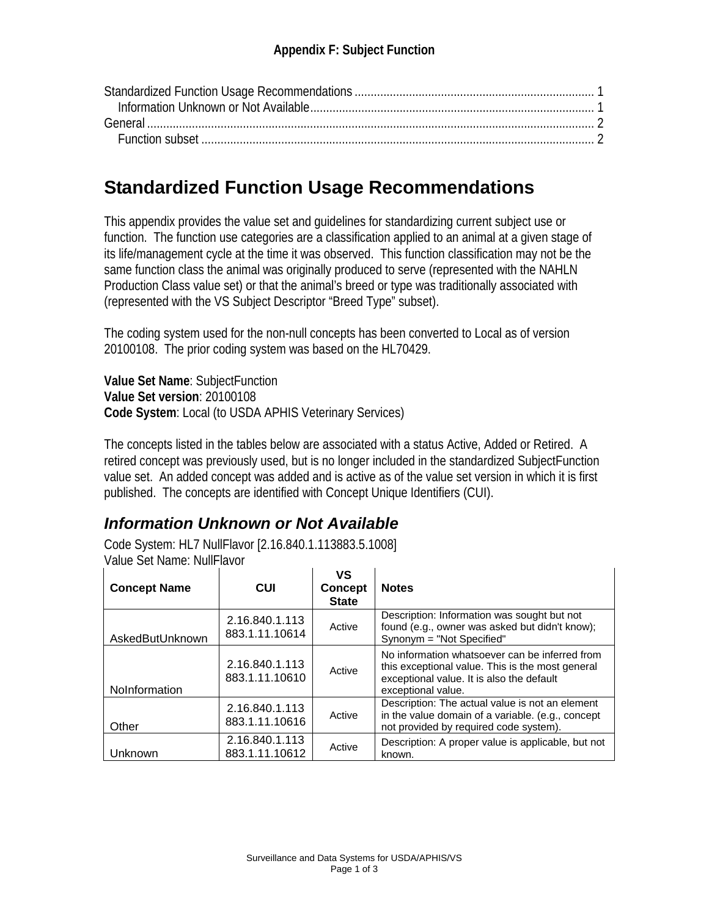# **Standardized Function Usage Recommendations**

This appendix provides the value set and guidelines for standardizing current subject use or function. The function use categories are a classification applied to an animal at a given stage of its life/management cycle at the time it was observed. This function classification may not be the same function class the animal was originally produced to serve (represented with the NAHLN Production Class value set) or that the animal's breed or type was traditionally associated with (represented with the VS Subject Descriptor "Breed Type" subset).

The coding system used for the non-null concepts has been converted to Local as of version 20100108. The prior coding system was based on the HL70429.

**Value Set Name**: SubjectFunction **Value Set version**: 20100108 **Code System**: Local (to USDA APHIS Veterinary Services)

The concepts listed in the tables below are associated with a status Active, Added or Retired. A retired concept was previously used, but is no longer included in the standardized SubjectFunction value set. An added concept was added and is active as of the value set version in which it is first published. The concepts are identified with Concept Unique Identifiers (CUI).

### *Information Unknown or Not Available*

Code System: HL7 NullFlavor [2.16.840.1.113883.5.1008] Value Set Name: NullFlavor

| <b>Concept Name</b> | <b>CUI</b>                       | ٧S<br><b>Concept</b><br><b>State</b> | <b>Notes</b>                                                                                                                                                          |
|---------------------|----------------------------------|--------------------------------------|-----------------------------------------------------------------------------------------------------------------------------------------------------------------------|
| AskedButUnknown     | 2.16.840.1.113<br>883.1.11.10614 | Active                               | Description: Information was sought but not<br>found (e.g., owner was asked but didn't know);<br>Synonym = "Not Specified"                                            |
| NoInformation       | 2.16.840.1.113<br>883.1.11.10610 | Active                               | No information whatsoever can be inferred from<br>this exceptional value. This is the most general<br>exceptional value. It is also the default<br>exceptional value. |
| Other               | 2.16.840.1.113<br>883.1.11.10616 | Active                               | Description: The actual value is not an element<br>in the value domain of a variable. (e.g., concept<br>not provided by required code system).                        |
| Unknown             | 2.16.840.1.113<br>883.1.11.10612 | Active                               | Description: A proper value is applicable, but not<br>known.                                                                                                          |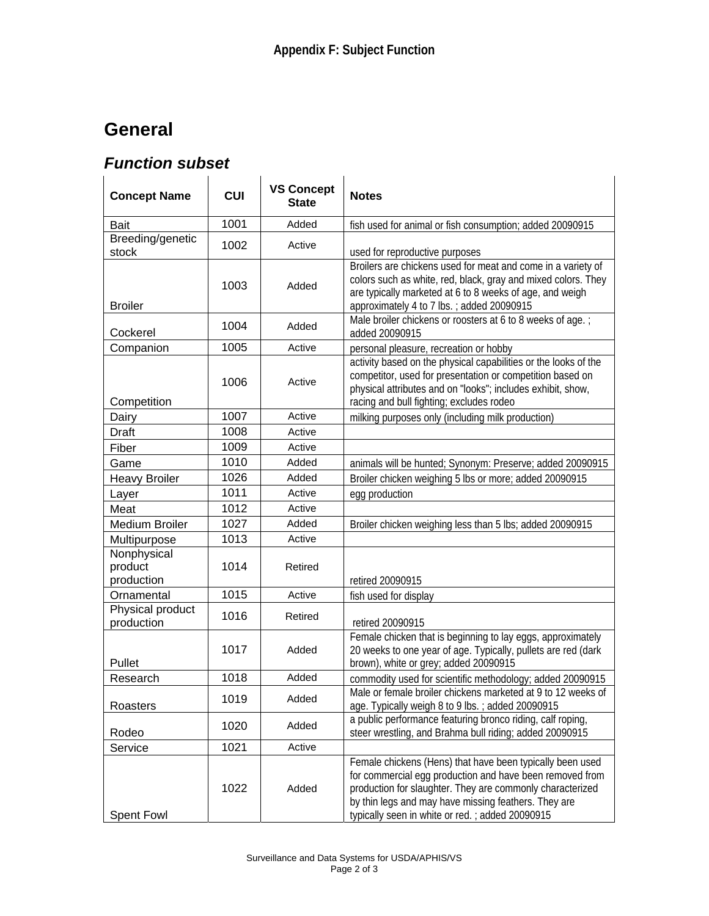# **General**

### *Function subset*

| <b>Concept Name</b>                  | <b>CUI</b> | <b>VS Concept</b><br><b>State</b> | <b>Notes</b>                                                                                                                                                                                                                                                                                  |
|--------------------------------------|------------|-----------------------------------|-----------------------------------------------------------------------------------------------------------------------------------------------------------------------------------------------------------------------------------------------------------------------------------------------|
| <b>Bait</b>                          | 1001       | Added                             | fish used for animal or fish consumption; added 20090915                                                                                                                                                                                                                                      |
| Breeding/genetic<br>stock            | 1002       | Active                            | used for reproductive purposes                                                                                                                                                                                                                                                                |
| <b>Broiler</b>                       | 1003       | Added                             | Broilers are chickens used for meat and come in a variety of<br>colors such as white, red, black, gray and mixed colors. They<br>are typically marketed at 6 to 8 weeks of age, and weigh<br>approximately 4 to 7 lbs.; added 20090915                                                        |
| Cockerel                             | 1004       | Added                             | Male broiler chickens or roosters at 6 to 8 weeks of age.;<br>added 20090915                                                                                                                                                                                                                  |
| Companion                            | 1005       | Active                            | personal pleasure, recreation or hobby                                                                                                                                                                                                                                                        |
| Competition                          | 1006       | Active                            | activity based on the physical capabilities or the looks of the<br>competitor, used for presentation or competition based on<br>physical attributes and on "looks"; includes exhibit, show,<br>racing and bull fighting; excludes rodeo                                                       |
| Dairy                                | 1007       | Active                            | milking purposes only (including milk production)                                                                                                                                                                                                                                             |
| Draft                                | 1008       | Active                            |                                                                                                                                                                                                                                                                                               |
| Fiber                                | 1009       | Active                            |                                                                                                                                                                                                                                                                                               |
| Game                                 | 1010       | Added                             | animals will be hunted; Synonym: Preserve; added 20090915                                                                                                                                                                                                                                     |
| <b>Heavy Broiler</b>                 | 1026       | Added                             | Broiler chicken weighing 5 lbs or more; added 20090915                                                                                                                                                                                                                                        |
| Layer                                | 1011       | Active                            | egg production                                                                                                                                                                                                                                                                                |
| Meat                                 | 1012       | Active                            |                                                                                                                                                                                                                                                                                               |
| <b>Medium Broiler</b>                | 1027       | Added                             | Broiler chicken weighing less than 5 lbs; added 20090915                                                                                                                                                                                                                                      |
| Multipurpose                         | 1013       | Active                            |                                                                                                                                                                                                                                                                                               |
| Nonphysical<br>product<br>production | 1014       | Retired                           | retired 20090915                                                                                                                                                                                                                                                                              |
| Ornamental                           | 1015       | Active                            | fish used for display                                                                                                                                                                                                                                                                         |
| Physical product<br>production       | 1016       | Retired                           | retired 20090915                                                                                                                                                                                                                                                                              |
| Pullet                               | 1017       | Added                             | Female chicken that is beginning to lay eggs, approximately<br>20 weeks to one year of age. Typically, pullets are red (dark<br>brown), white or grey; added 20090915                                                                                                                         |
| Research                             | 1018       | Added                             | commodity used for scientific methodology; added 20090915                                                                                                                                                                                                                                     |
| Roasters                             | 1019       | Added                             | Male or female broiler chickens marketed at 9 to 12 weeks of<br>age. Typically weigh 8 to 9 lbs.; added 20090915                                                                                                                                                                              |
| Rodeo                                | 1020       | Added                             | a public performance featuring bronco riding, calf roping,<br>steer wrestling, and Brahma bull riding; added 20090915                                                                                                                                                                         |
| Service                              | 1021       | Active                            |                                                                                                                                                                                                                                                                                               |
| <b>Spent Fowl</b>                    | 1022       | Added                             | Female chickens (Hens) that have been typically been used<br>for commercial egg production and have been removed from<br>production for slaughter. They are commonly characterized<br>by thin legs and may have missing feathers. They are<br>typically seen in white or red.; added 20090915 |